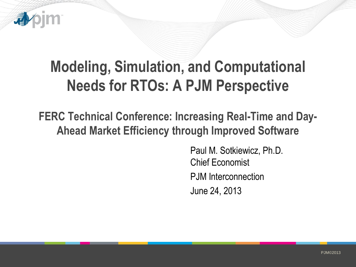

# **Modeling, Simulation, and Computational Needs for RTOs: A PJM Perspective**

**FERC Technical Conference: Increasing Real-Time and Day-Ahead Market Efficiency through Improved Software**

> Paul M. Sotkiewicz, Ph.D. Chief Economist PJM Interconnection June 24, 2013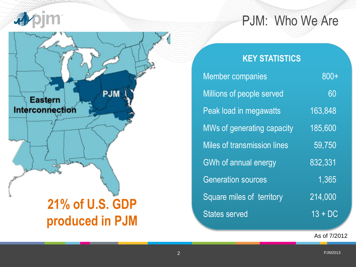



#### **KEY STATISTICS**

| <b>Member companies</b>            | $800+$               |
|------------------------------------|----------------------|
| Millions of people served          | 60                   |
| Peak load in megawatts             | 163,848              |
| MWs of generating capacity         | 185,600              |
| <b>Miles of transmission lines</b> | 59,750               |
| GWh of annual energy               | 832,331              |
| <b>Generation sources</b>          | 1,365                |
| Square miles of territory          | $\overline{214,000}$ |
| <b>States served</b>               | $13 + DC$            |

As of 7/2012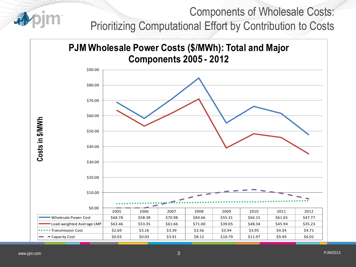# Components of Wholesale Costs: Prioritizing Computational Effort by Contribution to Costs

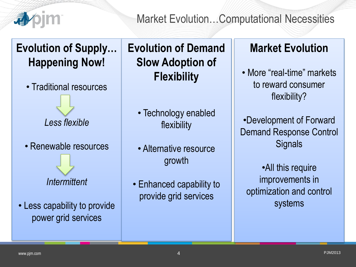

#### Market Evolution…Computational Necessities

# **Evolution of Supply… Happening Now!**

• Traditional resources

*Less flexible*

• Renewable resources

*Intermittent*

• Less capability to provide power grid services

# **Evolution of Demand Slow Adoption of Flexibility**

- Technology enabled flexibility
- Alternative resource growth
- Enhanced capability to provide grid services

### **Market Evolution**

• More "real-time" markets to reward consumer flexibility?

•Development of Forward Demand Response Control **Signals** 

•All this require improvements in optimization and control systems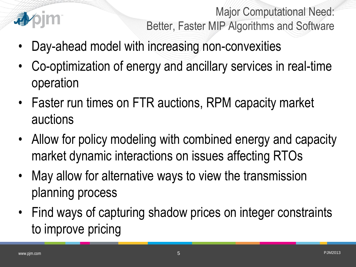

Major Computational Need: Better, Faster MIP Algorithms and Software

- Day-ahead model with increasing non-convexities
- Co-optimization of energy and ancillary services in real-time operation
- Faster run times on FTR auctions, RPM capacity market auctions
- Allow for policy modeling with combined energy and capacity market dynamic interactions on issues affecting RTOs
- May allow for alternative ways to view the transmission planning process
- Find ways of capturing shadow prices on integer constraints to improve pricing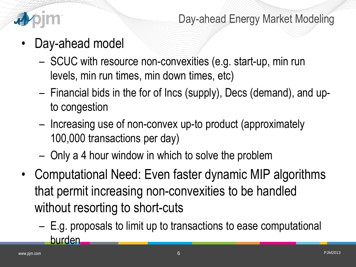

- Day-ahead model
	- SCUC with resource non-convexities (e.g. start-up, min run levels, min run times, min down times, etc)
	- Financial bids in the for of Incs (supply), Decs (demand), and upto congestion
	- Increasing use of non-convex up-to product (approximately 100,000 transactions per day)
	- Only a 4 hour window in which to solve the problem
- Computational Need: Even faster dynamic MIP algorithms that permit increasing non-convexities to be handled without resorting to short-cuts
	- E.g. proposals to limit up to transactions to ease computational burden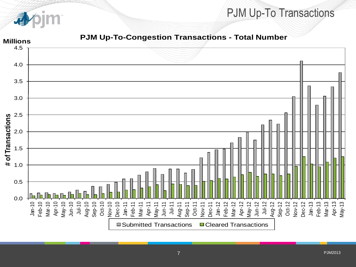

#### PJM Up-To Transactions

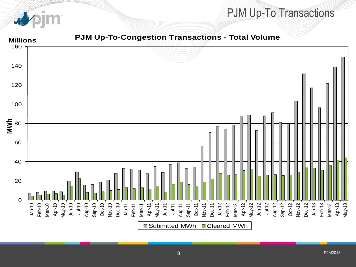

#### PJM Up-To Transactions

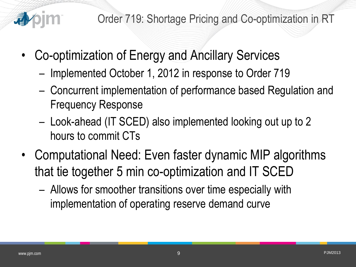

- Co-optimization of Energy and Ancillary Services
	- Implemented October 1, 2012 in response to Order 719
	- Concurrent implementation of performance based Regulation and Frequency Response
	- Look-ahead (IT SCED) also implemented looking out up to 2 hours to commit CTs
- Computational Need: Even faster dynamic MIP algorithms that tie together 5 min co-optimization and IT SCED
	- Allows for smoother transitions over time especially with implementation of operating reserve demand curve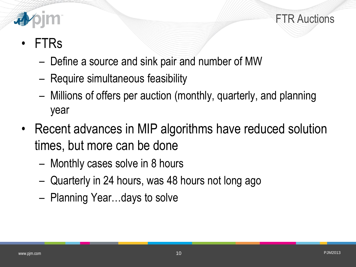

FTR Auctions

# • FTRs

- Define a source and sink pair and number of MW
- Require simultaneous feasibility
- Millions of offers per auction (monthly, quarterly, and planning year
- Recent advances in MIP algorithms have reduced solution times, but more can be done
	- Monthly cases solve in 8 hours
	- Quarterly in 24 hours, was 48 hours not long ago
	- Planning Year…days to solve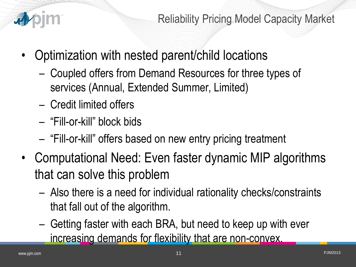

- Optimization with nested parent/child locations
	- Coupled offers from Demand Resources for three types of services (Annual, Extended Summer, Limited)
	- Credit limited offers
	- "Fill-or-kill" block bids
	- "Fill-or-kill" offers based on new entry pricing treatment
- Computational Need: Even faster dynamic MIP algorithms that can solve this problem
	- Also there is a need for individual rationality checks/constraints that fall out of the algorithm.
	- Getting faster with each BRA, but need to keep up with ever increasing demands for flexibility that are non-convex.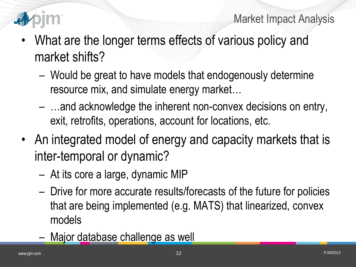



- What are the longer terms effects of various policy and market shifts?
	- Would be great to have models that endogenously determine resource mix, and simulate energy market…
	- …and acknowledge the inherent non-convex decisions on entry, exit, retrofits, operations, account for locations, etc.
- An integrated model of energy and capacity markets that is inter-temporal or dynamic?
	- At its core a large, dynamic MIP
	- Drive for more accurate results/forecasts of the future for policies that are being implemented (e.g. MATS) that linearized, convex models
	- Major database challenge as well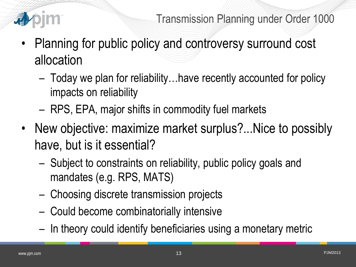

- Planning for public policy and controversy surround cost allocation
	- Today we plan for reliability…have recently accounted for policy impacts on reliability
	- RPS, EPA, major shifts in commodity fuel markets
- New objective: maximize market surplus?...Nice to possibly have, but is it essential?
	- Subject to constraints on reliability, public policy goals and mandates (e.g. RPS, MATS)
	- Choosing discrete transmission projects
	- Could become combinatorially intensive
	- In theory could identify beneficiaries using a monetary metric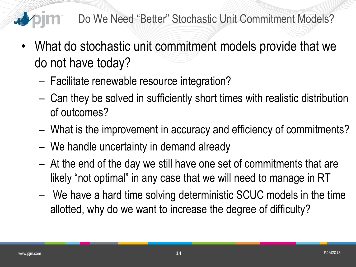

- Do We Need "Better" Stochastic Unit Commitment Models?
- What do stochastic unit commitment models provide that we do not have today?
	- Facilitate renewable resource integration?
	- Can they be solved in sufficiently short times with realistic distribution of outcomes?
	- What is the improvement in accuracy and efficiency of commitments?
	- We handle uncertainty in demand already
	- At the end of the day we still have one set of commitments that are likely "not optimal" in any case that we will need to manage in RT
	- We have a hard time solving deterministic SCUC models in the time allotted, why do we want to increase the degree of difficulty?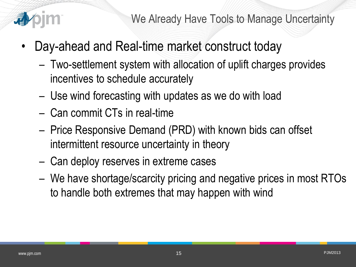

- Day-ahead and Real-time market construct today
	- Two-settlement system with allocation of uplift charges provides incentives to schedule accurately
	- Use wind forecasting with updates as we do with load
	- Can commit CTs in real-time
	- Price Responsive Demand (PRD) with known bids can offset intermittent resource uncertainty in theory
	- Can deploy reserves in extreme cases
	- We have shortage/scarcity pricing and negative prices in most RTOs to handle both extremes that may happen with wind